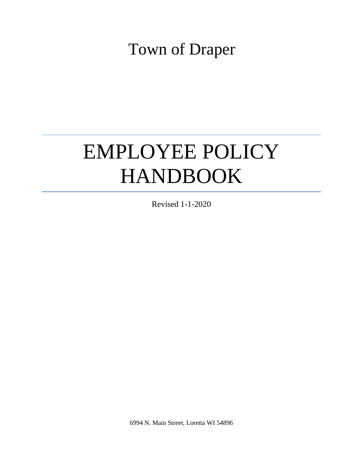# EMPLOYEE POLICY HANDBOOK

Revised 1-1-2020

6994 N. Main Street, Loretta WI 54896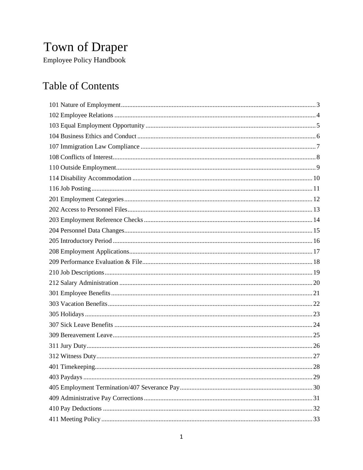Employee Policy Handbook

#### Table of Contents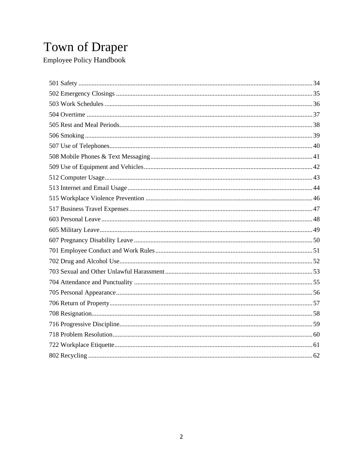Employee Policy Handbook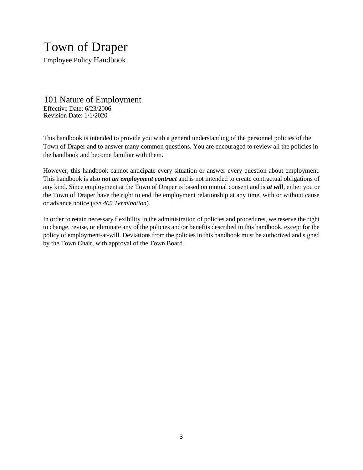Employee Policy Handbook

<span id="page-3-0"></span>101 Nature of Employment Effective Date: 6/23/2006 Revision Date: 1/1/2020

This handbook is intended to provide you with a general understanding of the personnel policies of the Town of Draper and to answer many common questions. You are encouraged to review all the policies in the handbook and become familiar with them.

However, this handbook cannot anticipate every situation or answer every question about employment. This handbook is also *not an employment contract* and is not intended to create contractual obligations of any kind. Since employment at the Town of Draper is based on mutual consent and is *at will*, either you or the Town of Draper have the right to end the employment relationship at any time, with or without cause or advance notice (*see 405 Termination*).

In order to retain necessary flexibility in the administration of policies and procedures, we reserve the right to change, revise, or eliminate any of the policies and/or benefits described in this handbook, except for the policy of employment-at-will. Deviations from the policies in this handbook must be authorized and signed by the Town Chair, with approval of the Town Board.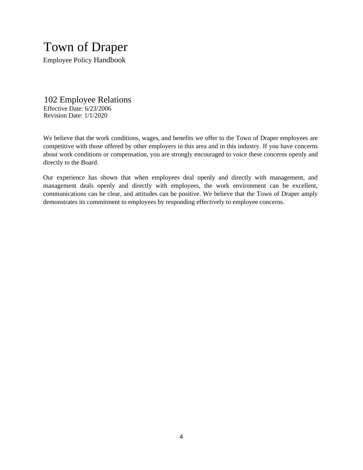Employee Policy Handbook

#### <span id="page-4-0"></span>102 Employee Relations Effective Date: 6/23/2006

Revision Date: 1/1/2020

We believe that the work conditions, wages, and benefits we offer to the Town of Draper employees are competitive with those offered by other employers in this area and in this industry. If you have concerns about work conditions or compensation, you are strongly encouraged to voice these concerns openly and directly to the Board.

Our experience has shown that when employees deal openly and directly with management, and management deals openly and directly with employees, the work environment can be excellent, communications can be clear, and attitudes can be positive. We believe that the Town of Draper amply demonstrates its commitment to employees by responding effectively to employee concerns.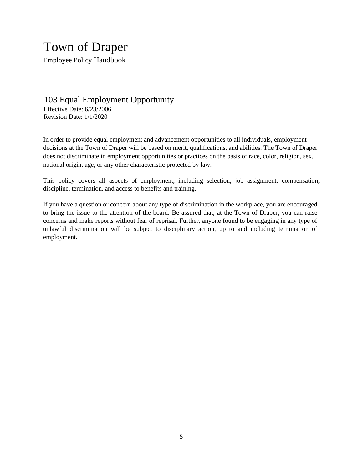Employee Policy Handbook

#### <span id="page-5-0"></span>103 Equal Employment Opportunity Effective Date: 6/23/2006

Revision Date: 1/1/2020

In order to provide equal employment and advancement opportunities to all individuals, employment decisions at the Town of Draper will be based on merit, qualifications, and abilities. The Town of Draper does not discriminate in employment opportunities or practices on the basis of race, color, religion, sex, national origin, age, or any other characteristic protected by law.

This policy covers all aspects of employment, including selection, job assignment, compensation, discipline, termination, and access to benefits and training.

If you have a question or concern about any type of discrimination in the workplace, you are encouraged to bring the issue to the attention of the board. Be assured that, at the Town of Draper, you can raise concerns and make reports without fear of reprisal. Further, anyone found to be engaging in any type of unlawful discrimination will be subject to disciplinary action, up to and including termination of employment.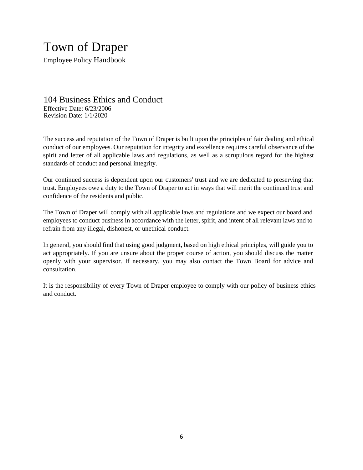Employee Policy Handbook

<span id="page-6-0"></span>104 Business Ethics and Conduct Effective Date: 6/23/2006 Revision Date: 1/1/2020

The success and reputation of the Town of Draper is built upon the principles of fair dealing and ethical conduct of our employees. Our reputation for integrity and excellence requires careful observance of the spirit and letter of all applicable laws and regulations, as well as a scrupulous regard for the highest standards of conduct and personal integrity.

Our continued success is dependent upon our customers' trust and we are dedicated to preserving that trust. Employees owe a duty to the Town of Draper to act in ways that will merit the continued trust and confidence of the residents and public.

The Town of Draper will comply with all applicable laws and regulations and we expect our board and employees to conduct business in accordance with the letter, spirit, and intent of all relevant laws and to refrain from any illegal, dishonest, or unethical conduct.

In general, you should find that using good judgment, based on high ethical principles, will guide you to act appropriately. If you are unsure about the proper course of action, you should discuss the matter openly with your supervisor. If necessary, you may also contact the Town Board for advice and consultation.

It is the responsibility of every Town of Draper employee to comply with our policy of business ethics and conduct.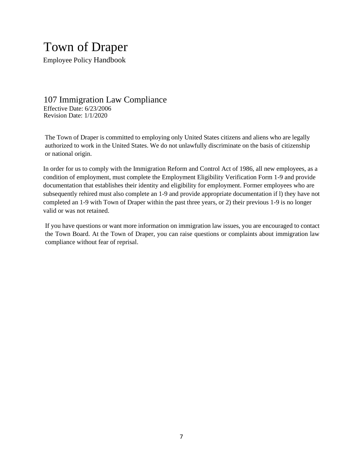Employee Policy Handbook

#### <span id="page-7-0"></span>107 Immigration Law Compliance

Effective Date: 6/23/2006 Revision Date: 1/1/2020

The Town of Draper is committed to employing only United States citizens and aliens who are legally authorized to work in the United States. We do not unlawfully discriminate on the basis of citizenship or national origin.

In order for us to comply with the Immigration Reform and Control Act of 1986, all new employees, as a condition of employment, must complete the Employment Eligibility Verification Form 1-9 and provide documentation that establishes their identity and eligibility for employment. Former employees who are subsequently rehired must also complete an 1-9 and provide appropriate documentation if l) they have not completed an 1-9 with Town of Draper within the past three years, or 2) their previous 1-9 is no longer valid or was not retained.

If you have questions or want more information on immigration law issues, you are encouraged to contact the Town Board. At the Town of Draper, you can raise questions or complaints about immigration law compliance without fear of reprisal.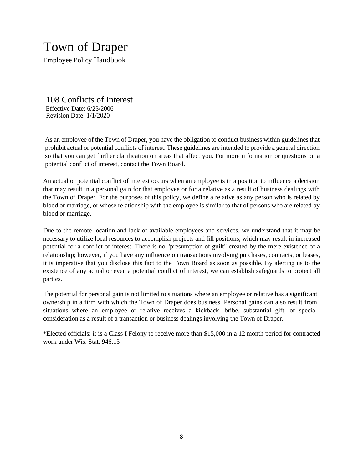Employee Policy Handbook

<span id="page-8-0"></span>108 Conflicts of Interest Effective Date: 6/23/2006 Revision Date: 1/1/2020

As an employee of the Town of Draper, you have the obligation to conduct business within guidelines that prohibit actual or potential conflicts of interest. These guidelines are intended to provide a general direction so that you can get further clarification on areas that affect you. For more information or questions on a potential conflict of interest, contact the Town Board.

An actual or potential conflict of interest occurs when an employee is in a position to influence a decision that may result in a personal gain for that employee or for a relative as a result of business dealings with the Town of Draper. For the purposes of this policy, we define a relative as any person who is related by blood or marriage, or whose relationship with the employee is similar to that of persons who are related by blood or marriage.

Due to the remote location and lack of available employees and services, we understand that it may be necessary to utilize local resources to accomplish projects and fill positions, which may result in increased potential for a conflict of interest. There is no "presumption of guilt" created by the mere existence of a relationship; however, if you have any influence on transactions involving purchases, contracts, or leases, it is imperative that you disclose this fact to the Town Board as soon as possible. By alerting us to the existence of any actual or even a potential conflict of interest, we can establish safeguards to protect all parties.

The potential for personal gain is not limited to situations where an employee or relative has a significant ownership in a firm with which the Town of Draper does business. Personal gains can also result from situations where an employee or relative receives a kickback, bribe, substantial gift, or special consideration as a result of a transaction or business dealings involving the Town of Draper.

\*Elected officials: it is a Class I Felony to receive more than \$15,000 in a 12 month period for contracted work under Wis. Stat. 946.13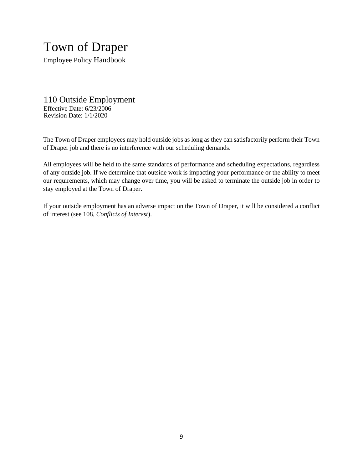Employee Policy Handbook

<span id="page-9-0"></span>110 Outside Employment Effective Date: 6/23/2006 Revision Date: 1/1/2020

The Town of Draper employees may hold outside jobs as long as they can satisfactorily perform their Town of Draper job and there is no interference with our scheduling demands.

All employees will be held to the same standards of performance and scheduling expectations, regardless of any outside job. If we determine that outside work is impacting your performance or the ability to meet our requirements, which may change over time, you will be asked to terminate the outside job in order to stay employed at the Town of Draper.

If your outside employment has an adverse impact on the Town of Draper, it will be considered a conflict of interest (see 108, *Conflicts of Interest*).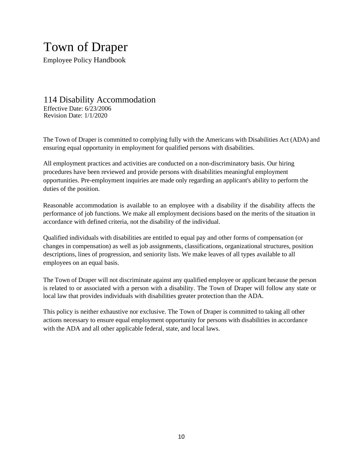Employee Policy Handbook

<span id="page-10-0"></span>114 Disability Accommodation Effective Date: 6/23/2006 Revision Date: 1/1/2020

The Town of Draper is committed to complying fully with the Americans with Disabilities Act (ADA) and ensuring equal opportunity in employment for qualified persons with disabilities.

All employment practices and activities are conducted on a non-discriminatory basis. Our hiring procedures have been reviewed and provide persons with disabilities meaningful employment opportunities. Pre-employment inquiries are made only regarding an applicant's ability to perform the duties of the position.

Reasonable accommodation is available to an employee with a disability if the disability affects the performance of job functions. We make all employment decisions based on the merits of the situation in accordance with defined criteria, not the disability of the individual.

Qualified individuals with disabilities are entitled to equal pay and other forms of compensation (or changes in compensation) as well as job assignments, classifications, organizational structures, position descriptions, lines of progression, and seniority lists. We make leaves of all types available to all employees on an equal basis.

The Town of Draper will not discriminate against any qualified employee or applicant because the person is related to or associated with a person with a disability. The Town of Draper will follow any state or local law that provides individuals with disabilities greater protection than the ADA.

This policy is neither exhaustive nor exclusive. The Town of Draper is committed to taking all other actions necessary to ensure equal employment opportunity for persons with disabilities in accordance with the ADA and all other applicable federal, state, and local laws.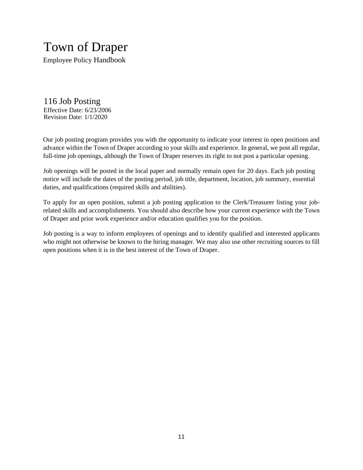Employee Policy Handbook

<span id="page-11-0"></span>116 Job Posting Effective Date: 6/23/2006 Revision Date: 1/1/2020

Our job posting program provides you with the opportunity to indicate your interest in open positions and advance within the Town of Draper according to your skills and experience. In general, we post all regular, full-time job openings, although the Town of Draper reserves its right to not post a particular opening.

Job openings will be posted in the local paper and normally remain open for 20 days. Each job posting notice will include the dates of the posting period, job title, department, location, job summary, essential duties, and qualifications (required skills and abilities).

To apply for an open position, submit a job posting application to the Clerk/Treasurer listing your jobrelated skills and accomplishments. You should also describe how your current experience with the Town of Draper and prior work experience and/or education qualifies you for the position.

Job posting is a way to inform employees of openings and to identify qualified and interested applicants who might not otherwise be known to the hiring manager. We may also use other recruiting sources to fill open positions when it is in the best interest of the Town of Draper.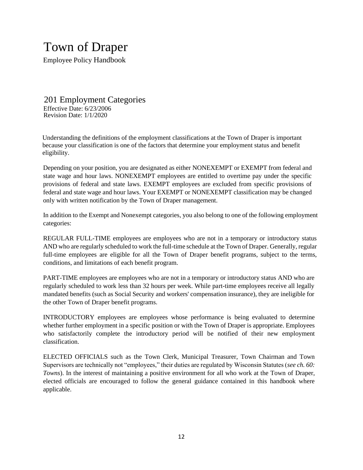Employee Policy Handbook

<span id="page-12-0"></span>201 Employment Categories Effective Date: 6/23/2006 Revision Date: 1/1/2020

Understanding the definitions of the employment classifications at the Town of Draper is important because your classification is one of the factors that determine your employment status and benefit eligibility.

Depending on your position, you are designated as either NONEXEMPT or EXEMPT from federal and state wage and hour laws. NONEXEMPT employees are entitled to overtime pay under the specific provisions of federal and state laws. EXEMPT employees are excluded from specific provisions of federal and state wage and hour laws. Your EXEMPT or NONEXEMPT classification may be changed only with written notification by the Town of Draper management.

In addition to the Exempt and Nonexempt categories, you also belong to one of the following employment categories:

REGULAR FULL-TIME employees are employees who are not in a temporary or introductory status AND who are regularly scheduled to work the full-time schedule at the Town of Draper. Generally, regular full-time employees are eligible for all the Town of Draper benefit programs, subject to the terms, conditions, and limitations of each benefit program.

PART-TIME employees are employees who are not in a temporary or introductory status AND who are regularly scheduled to work less than 32 hours per week. While part-time employees receive all legally mandated benefits (such as Social Security and workers' compensation insurance), they are ineligible for the other Town of Draper benefit programs.

INTRODUCTORY employees are employees whose performance is being evaluated to determine whether further employment in a specific position or with the Town of Draper is appropriate. Employees who satisfactorily complete the introductory period will be notified of their new employment classification.

ELECTED OFFICIALS such as the Town Clerk, Municipal Treasurer, Town Chairman and Town Supervisors are technically not "employees," their duties are regulated by Wisconsin Statutes (*see ch. 60: Towns*). In the interest of maintaining a positive environment for all who work at the Town of Draper, elected officials are encouraged to follow the general guidance contained in this handbook where applicable.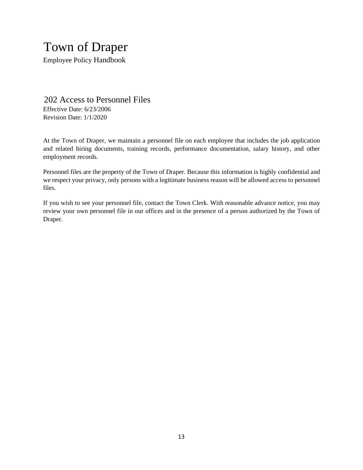Employee Policy Handbook

<span id="page-13-0"></span>202 Access to Personnel Files Effective Date: 6/23/2006 Revision Date: 1/1/2020

At the Town of Draper, we maintain a personnel file on each employee that includes the job application and related hiring documents, training records, performance documentation, salary history, and other employment records.

Personnel files are the property of the Town of Draper. Because this information is highly confidential and we respect your privacy, only persons with a legitimate business reason will be allowed access to personnel files.

If you wish to see your personnel file, contact the Town Clerk. With reasonable advance notice, you may review your own personnel file in our offices and in the presence of a person authorized by the Town of Draper.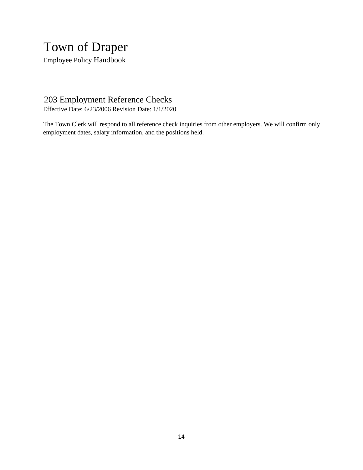Employee Policy Handbook

#### <span id="page-14-0"></span>203 Employment Reference Checks

Effective Date: 6/23/2006 Revision Date: 1/1/2020

The Town Clerk will respond to all reference check inquiries from other employers. We will confirm only employment dates, salary information, and the positions held.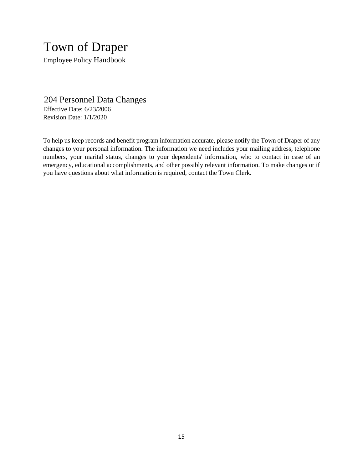Employee Policy Handbook

<span id="page-15-0"></span>204 Personnel Data Changes Effective Date: 6/23/2006 Revision Date: 1/1/2020

To help us keep records and benefit program information accurate, please notify the Town of Draper of any changes to your personal information. The information we need includes your mailing address, telephone numbers, your marital status, changes to your dependents' information, who to contact in case of an emergency, educational accomplishments, and other possibly relevant information. To make changes or if you have questions about what information is required, contact the Town Clerk.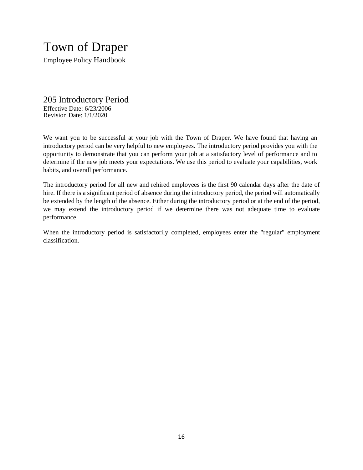Employee Policy Handbook

<span id="page-16-0"></span>205 Introductory Period Effective Date: 6/23/2006 Revision Date: 1/1/2020

We want you to be successful at your job with the Town of Draper. We have found that having an introductory period can be very helpful to new employees. The introductory period provides you with the opportunity to demonstrate that you can perform your job at a satisfactory level of performance and to determine if the new job meets your expectations. We use this period to evaluate your capabilities, work habits, and overall performance.

The introductory period for all new and rehired employees is the first 90 calendar days after the date of hire. If there is a significant period of absence during the introductory period, the period will automatically be extended by the length of the absence. Either during the introductory period or at the end of the period, we may extend the introductory period if we determine there was not adequate time to evaluate performance.

When the introductory period is satisfactorily completed, employees enter the "regular" employment classification.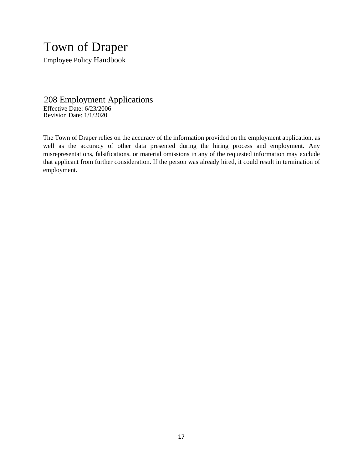Employee Policy Handbook

#### <span id="page-17-0"></span>208 Employment Applications Effective Date: 6/23/2006 Revision Date: 1/1/2020

The Town of Draper relies on the accuracy of the information provided on the employment application, as well as the accuracy of other data presented during the hiring process and employment. Any misrepresentations, falsifications, or material omissions in any of the requested information may exclude that applicant from further consideration. If the person was already hired, it could result in termination of employment.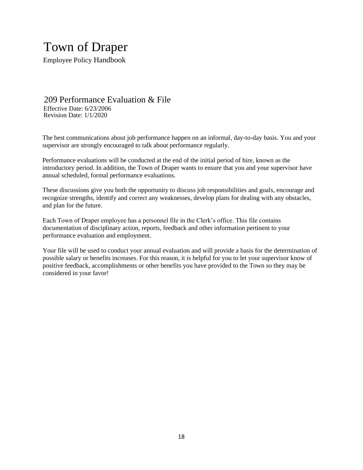Employee Policy Handbook

#### <span id="page-18-0"></span>209 Performance Evaluation & File

Effective Date: 6/23/2006 Revision Date: 1/1/2020

The best communications about job performance happen on an informal, day-to-day basis. You and your supervisor are strongly encouraged to talk about performance regularly.

Performance evaluations will be conducted at the end of the initial period of hire, known as the introductory period. In addition, the Town of Draper wants to ensure that you and your supervisor have annual scheduled, formal performance evaluations.

These discussions give you both the opportunity to discuss job responsibilities and goals, encourage and recognize strengths, identify and correct any weaknesses, develop plans for dealing with any obstacles, and plan for the future.

Each Town of Draper employee has a personnel file in the Clerk's office. This file contains documentation of disciplinary action, reports, feedback and other information pertinent to your performance evaluation and employment.

Your file will be used to conduct your annual evaluation and will provide a basis for the determination of possible salary or benefits increases. For this reason, it is helpful for you to let your supervisor know of positive feedback, accomplishments or other benefits you have provided to the Town so they may be considered in your favor!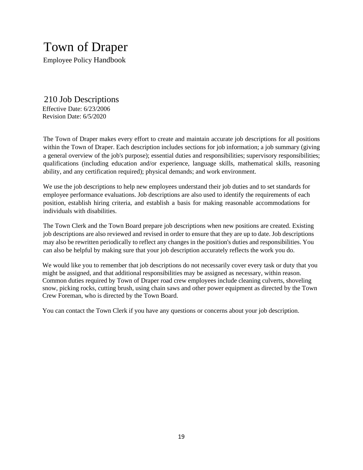Employee Policy Handbook

<span id="page-19-0"></span>210 Job Descriptions Effective Date: 6/23/2006 Revision Date: 6/5/2020

The Town of Draper makes every effort to create and maintain accurate job descriptions for all positions within the Town of Draper. Each description includes sections for job information; a job summary (giving a general overview of the job's purpose); essential duties and responsibilities; supervisory responsibilities; qualifications (including education and/or experience, language skills, mathematical skills, reasoning ability, and any certification required); physical demands; and work environment.

We use the job descriptions to help new employees understand their job duties and to set standards for employee performance evaluations. Job descriptions are also used to identify the requirements of each position, establish hiring criteria, and establish a basis for making reasonable accommodations for individuals with disabilities.

The Town Clerk and the Town Board prepare job descriptions when new positions are created. Existing job descriptions are also reviewed and revised in order to ensure that they are up to date. Job descriptions may also be rewritten periodically to reflect any changes in the position's duties and responsibilities. You can also be helpful by making sure that your job description accurately reflects the work you do.

We would like you to remember that job descriptions do not necessarily cover every task or duty that you might be assigned, and that additional responsibilities may be assigned as necessary, within reason. Common duties required by Town of Draper road crew employees include cleaning culverts, shoveling snow, picking rocks, cutting brush, using chain saws and other power equipment as directed by the Town Crew Foreman, who is directed by the Town Board.

You can contact the Town Clerk if you have any questions or concerns about your job description.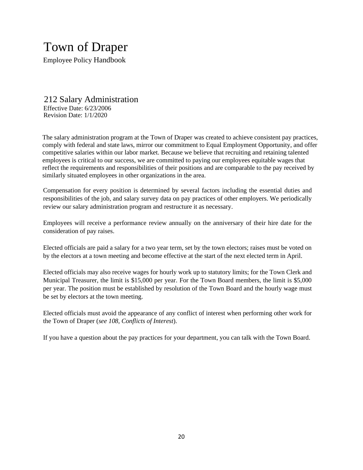Employee Policy Handbook

<span id="page-20-0"></span>212 Salary Administration Effective Date: 6/23/2006

Revision Date: 1/1/2020

The salary administration program at the Town of Draper was created to achieve consistent pay practices, comply with federal and state laws, mirror our commitment to Equal Employment Opportunity, and offer competitive salaries within our labor market. Because we believe that recruiting and retaining talented employees is critical to our success, we are committed to paying our employees equitable wages that reflect the requirements and responsibilities of their positions and are comparable to the pay received by similarly situated employees in other organizations in the area.

Compensation for every position is determined by several factors including the essential duties and responsibilities of the job, and salary survey data on pay practices of other employers. We periodically review our salary administration program and restructure it as necessary.

Employees will receive a performance review annually on the anniversary of their hire date for the consideration of pay raises.

Elected officials are paid a salary for a two year term, set by the town electors; raises must be voted on by the electors at a town meeting and become effective at the start of the next elected term in April.

Elected officials may also receive wages for hourly work up to statutory limits; for the Town Clerk and Municipal Treasurer, the limit is \$15,000 per year. For the Town Board members, the limit is \$5,000 per year. The position must be established by resolution of the Town Board and the hourly wage must be set by electors at the town meeting.

Elected officials must avoid the appearance of any conflict of interest when performing other work for the Town of Draper (*see 108, Conflicts of Interest*).

If you have a question about the pay practices for your department, you can talk with the Town Board.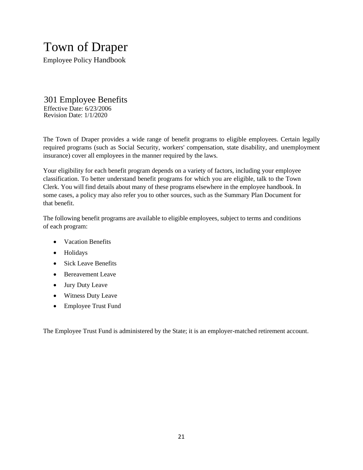Employee Policy Handbook

<span id="page-21-0"></span>301 Employee Benefits Effective Date: 6/23/2006 Revision Date: 1/1/2020

The Town of Draper provides a wide range of benefit programs to eligible employees. Certain legally required programs (such as Social Security, workers' compensation, state disability, and unemployment insurance) cover all employees in the manner required by the laws.

Your eligibility for each benefit program depends on a variety of factors, including your employee classification. To better understand benefit programs for which you are eligible, talk to the Town Clerk. You will find details about many of these programs elsewhere in the employee handbook. In some cases, a policy may also refer you to other sources, such as the Summary Plan Document for that benefit.

The following benefit programs are available to eligible employees, subject to terms and conditions of each program:

- Vacation Benefits
- Holidays
- Sick Leave Benefits
- Bereavement Leave
- Jury Duty Leave
- Witness Duty Leave
- Employee Trust Fund

The Employee Trust Fund is administered by the State; it is an employer-matched retirement account.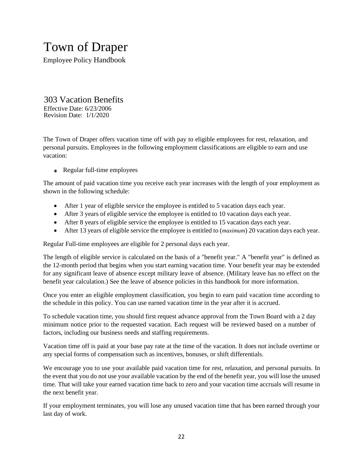Employee Policy Handbook

<span id="page-22-0"></span>303 Vacation Benefits Effective Date: 6/23/2006 Revision Date: 1/1/2020

The Town of Draper offers vacation time off with pay to eligible employees for rest, relaxation, and personal pursuits. Employees in the following employment classifications are eligible to earn and use vacation:

• Regular full-time employees

The amount of paid vacation time you receive each year increases with the length of your employment as shown in the following schedule:

- After 1 year of eligible service the employee is entitled to 5 vacation days each year.
- After 3 years of eligible service the employee is entitled to 10 vacation days each year.
- After 8 years of eligible service the employee is entitled to 15 vacation days each year.
- After 13 years of eligible service the employee is entitled to (*maximum*) 20 vacation days each year.

Regular Full-time employees are eligible for 2 personal days each year.

The length of eligible service is calculated on the basis of a "benefit year." A "benefit year" is defined as the 12-month period that begins when you start earning vacation time. Your benefit year may be extended for any significant leave of absence except military leave of absence. (Military leave has no effect on the benefit year calculation.) See the leave of absence policies in this handbook for more information.

Once you enter an eligible employment classification, you begin to earn paid vacation time according to the schedule in this policy. You can use earned vacation time in the year after it is accrued.

To schedule vacation time, you should first request advance approval from the Town Board with a 2 day minimum notice prior to the requested vacation. Each request will be reviewed based on a number of factors, including our business needs and staffing requirements.

Vacation time off is paid at your base pay rate at the time of the vacation. It does not include overtime or any special forms of compensation such as incentives, bonuses, or shift differentials.

We encourage you to use your available paid vacation time for rest, relaxation, and personal pursuits. In the event that you do not use your available vacation by the end of the benefit year, you will lose the unused time. That will take your earned vacation time back to zero and your vacation time accruals will resume in the next benefit year.

If your employment terminates, you will lose any unused vacation time that has been earned through your last day of work.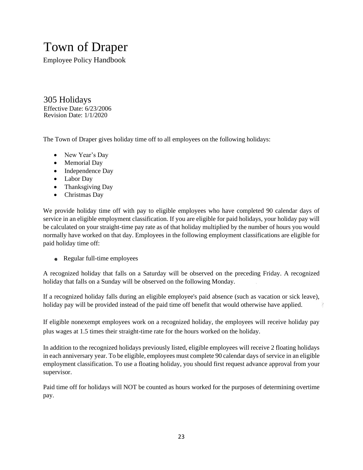Employee Policy Handbook

<span id="page-23-0"></span>305 Holidays Effective Date: 6/23/2006 Revision Date: 1/1/2020

The Town of Draper gives holiday time off to all employees on the following holidays:

- New Year's Day
- Memorial Day
- Independence Day
- Labor Day
- Thanksgiving Day
- Christmas Day

We provide holiday time off with pay to eligible employees who have completed 90 calendar days of service in an eligible employment classification. If you are eligible for paid holidays, your holiday pay will be calculated on your straight-time pay rate as of that holiday multiplied by the number of hours you would normally have worked on that day. Employees in the following employment classifications are eligible for paid holiday time off:

• Regular full-time employees

A recognized holiday that falls on a Saturday will be observed on the preceding Friday. A recognized holiday that falls on a Sunday will be observed on the following Monday.

If a recognized holiday falls during an eligible employee's paid absence (such as vacation or sick leave), holiday pay will be provided instead of the paid time off benefit that would otherwise have applied.

If eligible nonexempt employees work on a recognized holiday, the employees will receive holiday pay plus wages at 1.5 times their straight-time rate for the hours worked on the holiday.

In addition to the recognized holidays previously listed, eligible employees will receive 2 floating holidays in each anniversary year. To be eligible, employees must complete 90 calendar days of service in an eligible employment classification. To use a floating holiday, you should first request advance approval from your supervisor.

Paid time off for holidays will NOT be counted as hours worked for the purposes of determining overtime pay.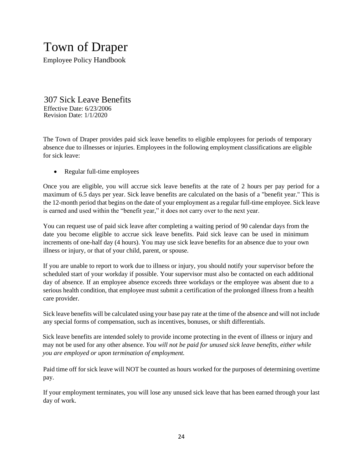Employee Policy Handbook

<span id="page-24-0"></span>307 Sick Leave Benefits Effective Date: 6/23/2006 Revision Date: 1/1/2020

The Town of Draper provides paid sick leave benefits to eligible employees for periods of temporary absence due to illnesses or injuries. Employees in the following employment classifications are eligible for sick leave:

• Regular full-time employees

Once you are eligible, you will accrue sick leave benefits at the rate of 2 hours per pay period for a maximum of 6.5 days per year. Sick leave benefits are calculated on the basis of a "benefit year." This is the 12-month period that begins on the date of your employment as a regular full-time employee. Sick leave is earned and used within the "benefit year," it does not carry over to the next year.

You can request use of paid sick leave after completing a waiting period of 90 calendar days from the date you become eligible to accrue sick leave benefits. Paid sick leave can be used in minimum increments of one-half day (4 hours). You may use sick leave benefits for an absence due to your own illness or injury, or that of your child, parent, or spouse.

If you are unable to report to work due to illness or injury, you should notify your supervisor before the scheduled start of your workday if possible. Your supervisor must also be contacted on each additional day of absence. If an employee absence exceeds three workdays or the employee was absent due to a serious health condition, that employee must submit a certification of the prolonged illness from a health care provider.

Sick leave benefits will be calculated using your base pay rate at the time of the absence and will not include any special forms of compensation, such as incentives, bonuses, or shift differentials.

Sick leave benefits are intended solely to provide income protecting in the event of illness or injury and may not be used for any other absence. *You will not be paid for unused sick leave benefits, either while you are employed or upon termination of employment.*

Paid time off for sick leave will NOT be counted as hours worked for the purposes of determining overtime pay.

If your employment terminates, you will lose any unused sick leave that has been earned through your last day of work.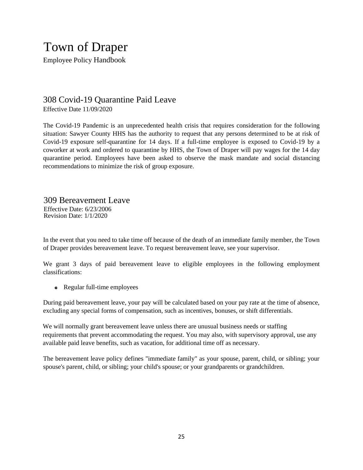Employee Policy Handbook

#### 308 Covid-19 Quarantine Paid Leave

Effective Date 11/09/2020

The Covid-19 Pandemic is an unprecedented health crisis that requires consideration for the following situation: Sawyer County HHS has the authority to request that any persons determined to be at risk of Covid-19 exposure self-quarantine for 14 days. If a full-time employee is exposed to Covid-19 by a coworker at work and ordered to quarantine by HHS, the Town of Draper will pay wages for the 14 day quarantine period. Employees have been asked to observe the mask mandate and social distancing recommendations to minimize the risk of group exposure.

#### <span id="page-25-0"></span>309 Bereavement Leave

Effective Date: 6/23/2006 Revision Date: 1/1/2020

In the event that you need to take time off because of the death of an immediate family member, the Town of Draper provides bereavement leave. To request bereavement leave, see your supervisor.

We grant 3 days of paid bereavement leave to eligible employees in the following employment classifications:

Regular full-time employees

During paid bereavement leave, your pay will be calculated based on your pay rate at the time of absence, excluding any special forms of compensation, such as incentives, bonuses, or shift differentials.

We will normally grant bereavement leave unless there are unusual business needs or staffing requirements that prevent accommodating the request. You may also, with supervisory approval, use any available paid leave benefits, such as vacation, for additional time off as necessary.

The bereavement leave policy defines "immediate family" as your spouse, parent, child, or sibling; your spouse's parent, child, or sibling; your child's spouse; or your grandparents or grandchildren.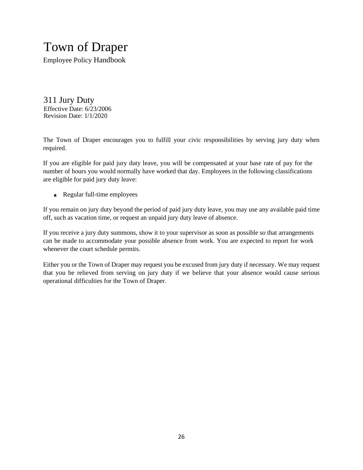Employee Policy Handbook

<span id="page-26-0"></span>311 Jury Duty Effective Date: 6/23/2006 Revision Date: 1/1/2020

The Town of Draper encourages you to fulfill your civic responsibilities by serving jury duty when required.

If you are eligible for paid jury duty leave, you will be compensated at your base rate of pay for the number of hours you would normally have worked that day. Employees in the following classifications are eligible for paid jury duty leave:

Regular full-time employees

If you remain on jury duty beyond the period of paid jury duty leave, you may use any available paid time off, such as vacation time, or request an unpaid jury duty leave of absence.

If you receive a jury duty summons, show it to your supervisor as soon as possible so that arrangements can be made to accommodate your possible absence from work. You are expected to report for work whenever the court schedule permits.

Either you or the Town of Draper may request you be excused from jury duty if necessary. We may request that you be relieved from serving on jury duty if we believe that your absence would cause serious operational difficulties for the Town of Draper.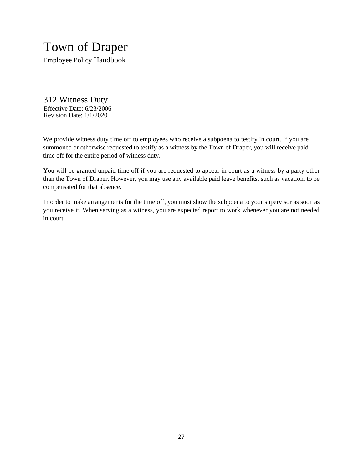Employee Policy Handbook

<span id="page-27-0"></span>312 Witness Duty Effective Date: 6/23/2006 Revision Date: 1/1/2020

We provide witness duty time off to employees who receive a subpoena to testify in court. If you are summoned or otherwise requested to testify as a witness by the Town of Draper, you will receive paid time off for the entire period of witness duty.

You will be granted unpaid time off if you are requested to appear in court as a witness by a party other than the Town of Draper. However, you may use any available paid leave benefits, such as vacation, to be compensated for that absence.

In order to make arrangements for the time off, you must show the subpoena to your supervisor as soon as you receive it. When serving as a witness, you are expected report to work whenever you are not needed in court.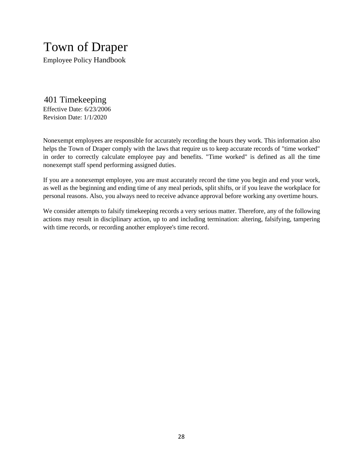Employee Policy Handbook

<span id="page-28-0"></span>401 Timekeeping Effective Date: 6/23/2006 Revision Date: 1/1/2020

Nonexempt employees are responsible for accurately recording the hours they work. This information also helps the Town of Draper comply with the laws that require us to keep accurate records of "time worked" in order to correctly calculate employee pay and benefits. "Time worked" is defined as all the time nonexempt staff spend performing assigned duties.

If you are a nonexempt employee, you are must accurately record the time you begin and end your work, as well as the beginning and ending time of any meal periods, split shifts, or if you leave the workplace for personal reasons. Also, you always need to receive advance approval before working any overtime hours.

We consider attempts to falsify time keeping records a very serious matter. Therefore, any of the following actions may result in disciplinary action, up to and including termination: altering, falsifying, tampering with time records, or recording another employee's time record.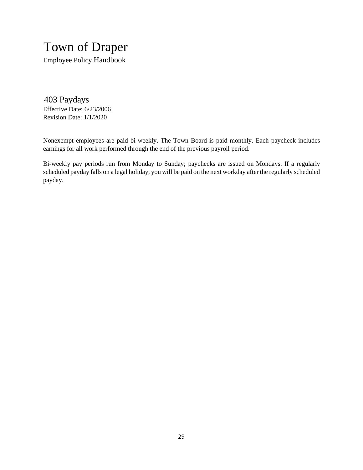Employee Policy Handbook

<span id="page-29-0"></span>403 Paydays Effective Date: 6/23/2006 Revision Date: 1/1/2020

Nonexempt employees are paid bi-weekly. The Town Board is paid monthly. Each paycheck includes earnings for all work performed through the end of the previous payroll period.

Bi-weekly pay periods run from Monday to Sunday; paychecks are issued on Mondays. If a regularly scheduled payday falls on a legal holiday, you will be paid on the next workday after the regularly scheduled payday.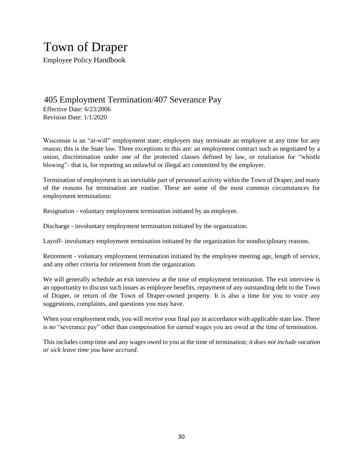Employee Policy Handbook

#### <span id="page-30-0"></span>405 Employment Termination/407 Severance Pay Effective Date: 6/23/2006

Revision Date: 1/1/2020

Wisconsin is an "at-will" employment state; employers may terminate an employee at any time for any reason; this is the State law. Three exceptions to this are: an employment contract such as negotiated by a union, discrimination under one of the protected classes defined by law, or retaliation for "whistle blowing"- that is, for reporting an unlawful or illegal act committed by the employer.

Termination of employment is an inevitable part of personnel activity within the Town of Draper, and many of the reasons for termination are routine. These are some of the most common circumstances for employment terminations:

Resignation - voluntary employment termination initiated by an employee.

Discharge - involuntary employment termination initiated by the organization.

Layoff- involuntary employment termination initiated by the organization for nondisciplinary reasons.

Retirement - voluntary employment termination initiated by the employee meeting age, length of service, and any other criteria for retirement from the organization.

We will generally schedule an exit interview at the time of employment termination. The exit interview is an opportunity to discuss such issues as employee benefits, repayment of any outstanding debt to the Town of Draper, or return of the Town of Draper-owned property. It is also a time for you to voice any suggestions, complaints, and questions you may have.

When your employment ends, you will receive your final pay in accordance with applicable state law. There is no "severance pay" other than compensation for earned wages you are owed at the time of termination.

This includes comp time and any wages owed to you at the time of termination*; it does not include vacation or sick leave time you have accrued.*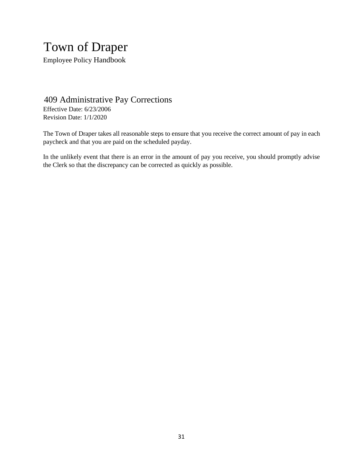Employee Policy Handbook

#### <span id="page-31-0"></span>409 Administrative Pay Corrections

Effective Date: 6/23/2006 Revision Date: 1/1/2020

The Town of Draper takes all reasonable steps to ensure that you receive the correct amount of pay in each paycheck and that you are paid on the scheduled payday.

In the unlikely event that there is an error in the amount of pay you receive, you should promptly advise the Clerk so that the discrepancy can be corrected as quickly as possible.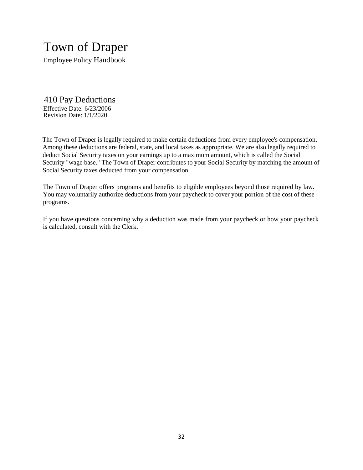Employee Policy Handbook

<span id="page-32-0"></span>410 Pay Deductions Effective Date: 6/23/2006 Revision Date: 1/1/2020

The Town of Draper is legally required to make certain deductions from every employee's compensation. Among these deductions are federal, state, and local taxes as appropriate. We are also legally required to deduct Social Security taxes on your earnings up to a maximum amount, which is called the Social Security "wage base." The Town of Draper contributes to your Social Security by matching the amount of Social Security taxes deducted from your compensation.

The Town of Draper offers programs and benefits to eligible employees beyond those required by law. You may voluntarily authorize deductions from your paycheck to cover your portion of the cost of these programs.

If you have questions concerning why a deduction was made from your paycheck or how your paycheck is calculated, consult with the Clerk.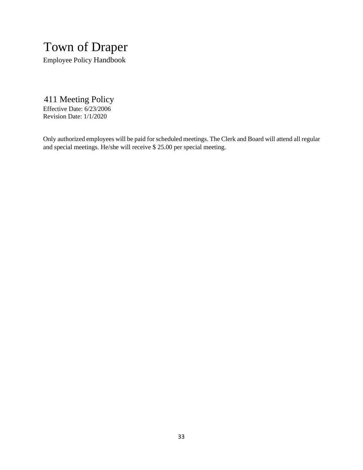Employee Policy Handbook

#### <span id="page-33-0"></span>411 Meeting Policy

Effective Date: 6/23/2006 Revision Date: 1/1/2020

Only authorized employees will be paid for scheduled meetings. The Clerk and Board will attend all regular and special meetings. He/she will receive \$ 25.00 per special meeting.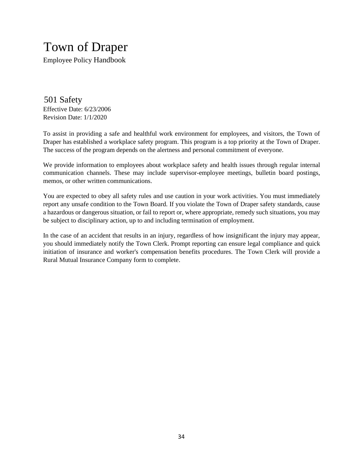Employee Policy Handbook

<span id="page-34-0"></span>501 Safety Effective Date: 6/23/2006 Revision Date: 1/1/2020

To assist in providing a safe and healthful work environment for employees, and visitors, the Town of Draper has established a workplace safety program. This program is a top priority at the Town of Draper. The success of the program depends on the alertness and personal commitment of everyone.

We provide information to employees about workplace safety and health issues through regular internal communication channels. These may include supervisor-employee meetings, bulletin board postings, memos, or other written communications.

You are expected to obey all safety rules and use caution in your work activities. You must immediately report any unsafe condition to the Town Board. If you violate the Town of Draper safety standards, cause a hazardous or dangerous situation, or fail to report or, where appropriate, remedy such situations, you may be subject to disciplinary action, up to and including termination of employment.

In the case of an accident that results in an injury, regardless of how insignificant the injury may appear, you should immediately notify the Town Clerk. Prompt reporting can ensure legal compliance and quick initiation of insurance and worker's compensation benefits procedures. The Town Clerk will provide a Rural Mutual Insurance Company form to complete.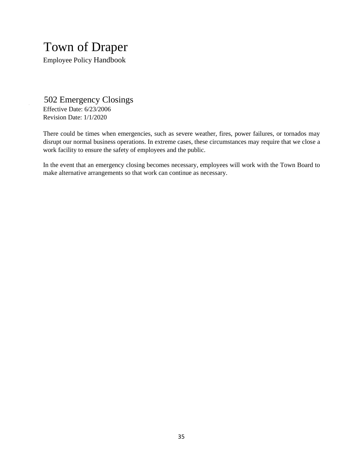Employee Policy Handbook

<span id="page-35-0"></span>502 Emergency Closings Effective Date: 6/23/2006 Revision Date: 1/1/2020

There could be times when emergencies, such as severe weather, fires, power failures, or tornados may disrupt our normal business operations. In extreme cases, these circumstances may require that we close a work facility to ensure the safety of employees and the public.

In the event that an emergency closing becomes necessary, employees will work with the Town Board to make alternative arrangements so that work can continue as necessary.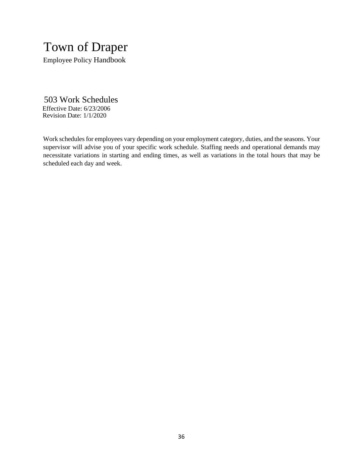Employee Policy Handbook

<span id="page-36-0"></span>503 Work Schedules Effective Date: 6/23/2006 Revision Date: 1/1/2020

Work schedules for employees vary depending on your employment category, duties, and the seasons. Your supervisor will advise you of your specific work schedule. Staffing needs and operational demands may necessitate variations in starting and ending times, as well as variations in the total hours that may be scheduled each day and week.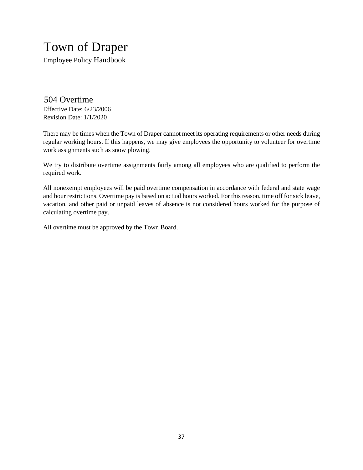Employee Policy Handbook

<span id="page-37-0"></span>504 Overtime Effective Date: 6/23/2006 Revision Date: 1/1/2020

There may be times when the Town of Draper cannot meet its operating requirements or other needs during regular working hours. If this happens, we may give employees the opportunity to volunteer for overtime work assignments such as snow plowing.

We try to distribute overtime assignments fairly among all employees who are qualified to perform the required work.

All nonexempt employees will be paid overtime compensation in accordance with federal and state wage and hour restrictions. Overtime pay is based on actual hours worked. For this reason, time off for sick leave, vacation, and other paid or unpaid leaves of absence is not considered hours worked for the purpose of calculating overtime pay.

All overtime must be approved by the Town Board.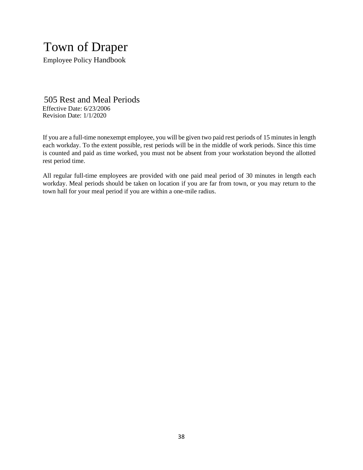Employee Policy Handbook

<span id="page-38-0"></span>505 Rest and Meal Periods Effective Date: 6/23/2006 Revision Date: 1/1/2020

If you are a full-time nonexempt employee, you will be given two paid rest periods of 15 minutes in length each workday. To the extent possible, rest periods will be in the middle of work periods. Since this time is counted and paid as time worked, you must not be absent from your workstation beyond the allotted rest period time.

All regular full-time employees are provided with one paid meal period of 30 minutes in length each workday. Meal periods should be taken on location if you are far from town, or you may return to the town hall for your meal period if you are within a one-mile radius.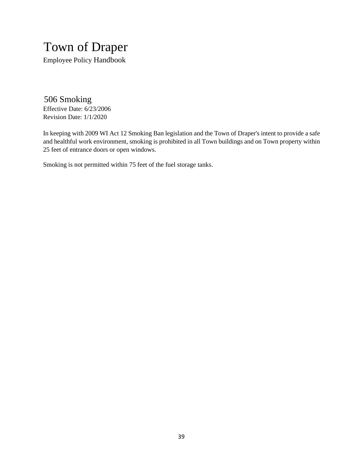Employee Policy Handbook

<span id="page-39-0"></span>506 Smoking Effective Date: 6/23/2006 Revision Date: 1/1/2020

In keeping with 2009 WI Act 12 Smoking Ban legislation and the Town of Draper's intent to provide a safe and healthful work environment, smoking is prohibited in all Town buildings and on Town property within 25 feet of entrance doors or open windows.

Smoking is not permitted within 75 feet of the fuel storage tanks.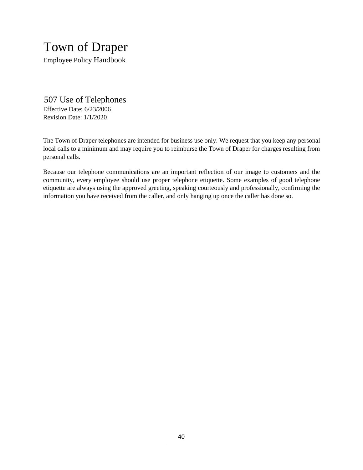Employee Policy Handbook

<span id="page-40-0"></span>507 Use of Telephones Effective Date: 6/23/2006 Revision Date: 1/1/2020

The Town of Draper telephones are intended for business use only. We request that you keep any personal local calls to a minimum and may require you to reimburse the Town of Draper for charges resulting from personal calls.

Because our telephone communications are an important reflection of our image to customers and the community, every employee should use proper telephone etiquette. Some examples of good telephone etiquette are always using the approved greeting, speaking courteously and professionally, confirming the information you have received from the caller, and only hanging up once the caller has done so.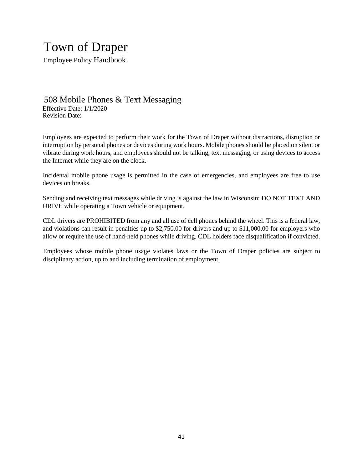Employee Policy Handbook

#### <span id="page-41-0"></span>508 Mobile Phones & Text Messaging Effective Date: 1/1/2020 Revision Date:

Employees are expected to perform their work for the Town of Draper without distractions, disruption or interruption by personal phones or devices during work hours. Mobile phones should be placed on silent or vibrate during work hours, and employees should not be talking, text messaging, or using devices to access the Internet while they are on the clock.

Incidental mobile phone usage is permitted in the case of emergencies, and employees are free to use devices on breaks.

Sending and receiving text messages while driving is against the law in Wisconsin: DO NOT TEXT AND DRIVE while operating a Town vehicle or equipment.

CDL drivers are PROHIBITED from any and all use of cell phones behind the wheel. This is a federal law, and violations can result in penalties up to \$2,750.00 for drivers and up to \$11,000.00 for employers who allow or require the use of hand-held phones while driving. CDL holders face disqualification if convicted.

Employees whose mobile phone usage violates laws or the Town of Draper policies are subject to disciplinary action, up to and including termination of employment.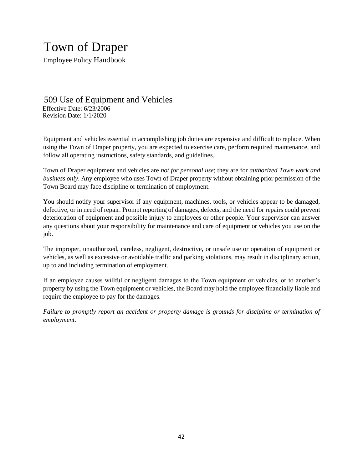Employee Policy Handbook

<span id="page-42-0"></span>509 Use of Equipment and Vehicles Effective Date: 6/23/2006 Revision Date: 1/1/2020

Equipment and vehicles essential in accomplishing job duties are expensive and difficult to replace. When using the Town of Draper property, you are expected to exercise care, perform required maintenance, and follow all operating instructions, safety standards, and guidelines.

Town of Draper equipment and vehicles are *not for personal use*; they are for *authorized Town work and business only*. Any employee who uses Town of Draper property without obtaining prior permission of the Town Board may face discipline or termination of employment.

You should notify your supervisor if any equipment, machines, tools, or vehicles appear to be damaged, defective, or in need of repair. Prompt reporting of damages, defects, and the need for repairs could prevent deterioration of equipment and possible injury to employees or other people. Your supervisor can answer any questions about your responsibility for maintenance and care of equipment or vehicles you use on the job.

The improper, unauthorized, careless, negligent, destructive, or unsafe use or operation of equipment or vehicles, as well as excessive or avoidable traffic and parking violations, may result in disciplinary action, up to and including termination of employment.

If an employee causes willful or negligent damages to the Town equipment or vehicles, or to another's property by using the Town equipment or vehicles, the Board may hold the employee financially liable and require the employee to pay for the damages.

*Failure to promptly report an accident or property damage is grounds for discipline or termination of employment.*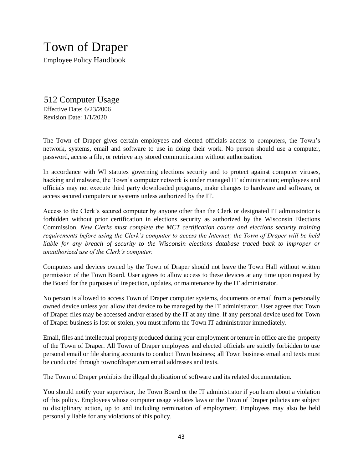Employee Policy Handbook

<span id="page-43-0"></span>512 Computer Usage Effective Date: 6/23/2006 Revision Date: 1/1/2020

The Town of Draper gives certain employees and elected officials access to computers, the Town's network, systems, email and software to use in doing their work. No person should use a computer, password, access a file, or retrieve any stored communication without authorization.

In accordance with WI statutes governing elections security and to protect against computer viruses, hacking and malware, the Town's computer network is under managed IT administration; employees and officials may not execute third party downloaded programs, make changes to hardware and software, or access secured computers or systems unless authorized by the IT.

Access to the Clerk's secured computer by anyone other than the Clerk or designated IT administrator is forbidden without prior certification in elections security as authorized by the Wisconsin Elections Commission. *New Clerks must complete the MCT certification course and elections security training requirements before using the Clerk's computer to access the Internet; the Town of Draper will be held liable for any breach of security to the Wisconsin elections database traced back to improper or unauthorized use of the Clerk's computer.*

Computers and devices owned by the Town of Draper should not leave the Town Hall without written permission of the Town Board. User agrees to allow access to these devices at any time upon request by the Board for the purposes of inspection, updates, or maintenance by the IT administrator.

No person is allowed to access Town of Draper computer systems, documents or email from a personally owned device unless you allow that device to be managed by the IT administrator. User agrees that Town of Draper files may be accessed and/or erased by the IT at any time. If any personal device used for Town of Draper business is lost or stolen, you must inform the Town IT administrator immediately.

Email, files and intellectual property produced during your employment or tenure in office are the property of the Town of Draper. All Town of Draper employees and elected officials are strictly forbidden to use personal email or file sharing accounts to conduct Town business; all Town business email and texts must be conducted through townofdraper.com email addresses and texts.

The Town of Draper prohibits the illegal duplication of software and its related documentation.

You should notify your supervisor, the Town Board or the IT administrator if you learn about a violation of this policy. Employees whose computer usage violates laws or the Town of Draper policies are subject to disciplinary action, up to and including termination of employment. Employees may also be held personally liable for any violations of this policy.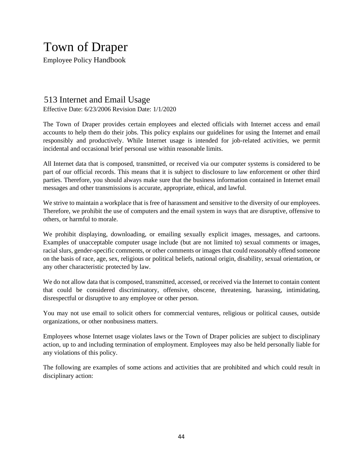Employee Policy Handbook

#### <span id="page-44-0"></span>513 Internet and Email Usage

Effective Date: 6/23/2006 Revision Date: 1/1/2020

The Town of Draper provides certain employees and elected officials with Internet access and email accounts to help them do their jobs. This policy explains our guidelines for using the Internet and email responsibly and productively. While Internet usage is intended for job-related activities, we permit incidental and occasional brief personal use within reasonable limits.

All Internet data that is composed, transmitted, or received via our computer systems is considered to be part of our official records. This means that it is subject to disclosure to law enforcement or other third parties. Therefore, you should always make sure that the business information contained in Internet email messages and other transmissions is accurate, appropriate, ethical, and lawful.

We strive to maintain a workplace that is free of harassment and sensitive to the diversity of our employees. Therefore, we prohibit the use of computers and the email system in ways that are disruptive, offensive to others, or harmful to morale.

We prohibit displaying, downloading, or emailing sexually explicit images, messages, and cartoons. Examples of unacceptable computer usage include (but are not limited to) sexual comments or images, racial slurs, gender-specific comments, or other comments or images that could reasonably offend someone on the basis of race, age, sex, religious or political beliefs, national origin, disability, sexual orientation, or any other characteristic protected by law.

We do not allow data that is composed, transmitted, accessed, or received via the Internet to contain content that could be considered discriminatory, offensive, obscene, threatening, harassing, intimidating, disrespectful or disruptive to any employee or other person.

You may not use email to solicit others for commercial ventures, religious or political causes, outside organizations, or other nonbusiness matters.

Employees whose Internet usage violates laws or the Town of Draper policies are subject to disciplinary action, up to and including termination of employment. Employees may also be held personally liable for any violations of this policy.

The following are examples of some actions and activities that are prohibited and which could result in disciplinary action: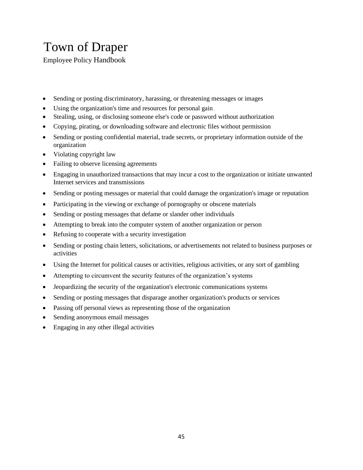Employee Policy Handbook

- Sending or posting discriminatory, harassing, or threatening messages or images
- Using the organization's time and resources for personal gain.
- Stealing, using, or disclosing someone else's code or password without authorization
- Copying, pirating, or downloading software and electronic files without permission
- Sending or posting confidential material, trade secrets, or proprietary information outside of the organization
- Violating copyright law
- Failing to observe licensing agreements
- Engaging in unauthorized transactions that may incur a cost to the organization or initiate unwanted Internet services and transmissions
- Sending or posting messages or material that could damage the organization's image or reputation
- Participating in the viewing or exchange of pornography or obscene materials
- Sending or posting messages that defame or slander other individuals
- Attempting to break into the computer system of another organization or person
- Refusing to cooperate with a security investigation
- Sending or posting chain letters, solicitations, or advertisements not related to business purposes or activities
- Using the Internet for political causes or activities, religious activities, or any sort of gambling
- Attempting to circumvent the security features of the organization's systems
- Jeopardizing the security of the organization's electronic communications systems
- Sending or posting messages that disparage another organization's products or services
- Passing off personal views as representing those of the organization
- Sending anonymous email messages
- Engaging in any other illegal activities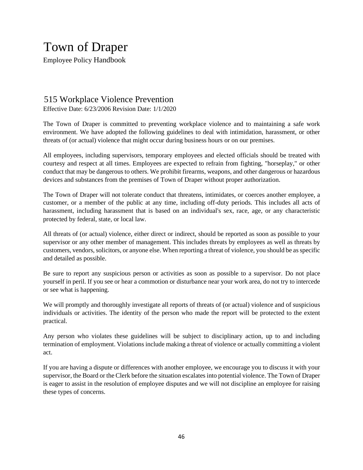Employee Policy Handbook

#### <span id="page-46-0"></span>515 Workplace Violence Prevention

Effective Date: 6/23/2006 Revision Date: 1/1/2020

The Town of Draper is committed to preventing workplace violence and to maintaining a safe work environment. We have adopted the following guidelines to deal with intimidation, harassment, or other threats of (or actual) violence that might occur during business hours or on our premises.

All employees, including supervisors, temporary employees and elected officials should be treated with courtesy and respect at all times. Employees are expected to refrain from fighting, "horseplay," or other conduct that may be dangerous to others. We prohibit firearms, weapons, and other dangerous or hazardous devices and substances from the premises of Town of Draper without proper authorization.

The Town of Draper will not tolerate conduct that threatens, intimidates, or coerces another employee, a customer, or a member of the public at any time, including off-duty periods. This includes all acts of harassment, including harassment that is based on an individual's sex, race, age, or any characteristic protected by federal, state, or local law.

All threats of (or actual) violence, either direct or indirect, should be reported as soon as possible to your supervisor or any other member of management. This includes threats by employees as well as threats by customers, vendors, solicitors, or anyone else. When reporting a threat of violence, you should be as specific and detailed as possible.

Be sure to report any suspicious person or activities as soon as possible to a supervisor. Do not place yourself in peril. If you see or hear a commotion or disturbance near your work area, do not try to intercede or see what is happening.

We will promptly and thoroughly investigate all reports of threats of (or actual) violence and of suspicious individuals or activities. The identity of the person who made the report will be protected to the extent practical.

Any person who violates these guidelines will be subject to disciplinary action, up to and including termination of employment. Violations include making a threat of violence or actually committing a violent act.

If you are having a dispute or differences with another employee, we encourage you to discuss it with your supervisor, the Board or the Clerk before the situation escalates into potential violence. The Town of Draper is eager to assist in the resolution of employee disputes and we will not discipline an employee for raising these types of concerns.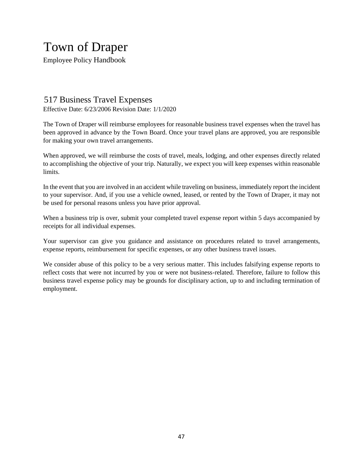Employee Policy Handbook

#### <span id="page-47-0"></span>517 Business Travel Expenses

Effective Date: 6/23/2006 Revision Date: 1/1/2020

The Town of Draper will reimburse employees for reasonable business travel expenses when the travel has been approved in advance by the Town Board. Once your travel plans are approved, you are responsible for making your own travel arrangements.

When approved, we will reimburse the costs of travel, meals, lodging, and other expenses directly related to accomplishing the objective of your trip. Naturally, we expect you will keep expenses within reasonable limits.

In the event that you are involved in an accident while traveling on business, immediately report the incident to your supervisor. And, if you use a vehicle owned, leased, or rented by the Town of Draper, it may not be used for personal reasons unless you have prior approval.

When a business trip is over, submit your completed travel expense report within 5 days accompanied by receipts for all individual expenses.

Your supervisor can give you guidance and assistance on procedures related to travel arrangements, expense reports, reimbursement for specific expenses, or any other business travel issues.

We consider abuse of this policy to be a very serious matter. This includes falsifying expense reports to reflect costs that were not incurred by you or were not business-related. Therefore, failure to follow this business travel expense policy may be grounds for disciplinary action, up to and including termination of employment.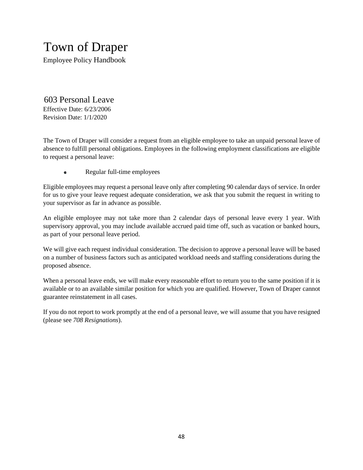Employee Policy Handbook

<span id="page-48-0"></span>603 Personal Leave Effective Date: 6/23/2006 Revision Date: 1/1/2020

The Town of Draper will consider a request from an eligible employee to take an unpaid personal leave of absence to fulfill personal obligations. Employees in the following employment classifications are eligible to request a personal leave:

Regular full-time employees  $\bullet$ 

Eligible employees may request a personal leave only after completing 90 calendar days of service. In order for us to give your leave request adequate consideration, we ask that you submit the request in writing to your supervisor as far in advance as possible.

An eligible employee may not take more than 2 calendar days of personal leave every 1 year. With supervisory approval, you may include available accrued paid time off, such as vacation or banked hours, as part of your personal leave period.

We will give each request individual consideration. The decision to approve a personal leave will be based on a number of business factors such as anticipated workload needs and staffing considerations during the proposed absence.

When a personal leave ends, we will make every reasonable effort to return you to the same position if it is available or to an available similar position for which you are qualified. However, Town of Draper cannot guarantee reinstatement in all cases.

If you do not report to work promptly at the end of a personal leave, we will assume that you have resigned (please see *708 Resignations*).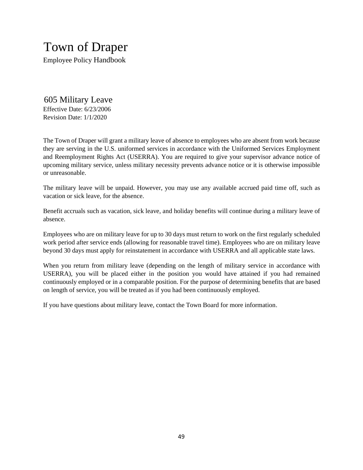Employee Policy Handbook

<span id="page-49-0"></span>605 Military Leave Effective Date: 6/23/2006 Revision Date: 1/1/2020

The Town of Draper will grant a military leave of absence to employees who are absent from work because they are serving in the U.S. uniformed services in accordance with the Uniformed Services Employment and Reemployment Rights Act (USERRA). You are required to give your supervisor advance notice of upcoming military service, unless military necessity prevents advance notice or it is otherwise impossible or unreasonable.

The military leave will be unpaid. However, you may use any available accrued paid time off, such as vacation or sick leave, for the absence.

Benefit accruals such as vacation, sick leave, and holiday benefits will continue during a military leave of absence.

Employees who are on military leave for up to 30 days must return to work on the first regularly scheduled work period after service ends (allowing for reasonable travel time). Employees who are on military leave beyond 30 days must apply for reinstatement in accordance with USERRA and all applicable state laws.

When you return from military leave (depending on the length of military service in accordance with USERRA), you will be placed either in the position you would have attained if you had remained continuously employed or in a comparable position. For the purpose of determining benefits that are based on length of service, you will be treated as if you had been continuously employed.

If you have questions about military leave, contact the Town Board for more information.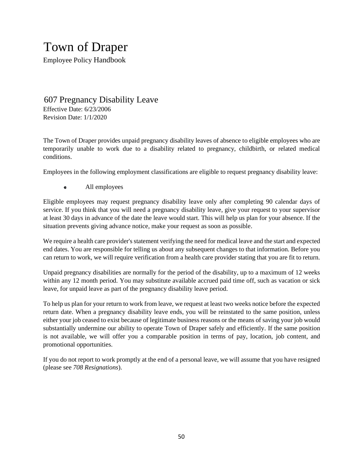Employee Policy Handbook

<span id="page-50-0"></span>607 Pregnancy Disability Leave Effective Date: 6/23/2006 Revision Date: 1/1/2020

The Town of Draper provides unpaid pregnancy disability leaves of absence to eligible employees who are temporarily unable to work due to a disability related to pregnancy, childbirth, or related medical conditions.

Employees in the following employment classifications are eligible to request pregnancy disability leave:

 $\bullet$ All employees

Eligible employees may request pregnancy disability leave only after completing 90 calendar days of service. If you think that you will need a pregnancy disability leave, give your request to your supervisor at least 30 days in advance of the date the leave would start. This will help us plan for your absence. If the situation prevents giving advance notice, make your request as soon as possible.

We require a health care provider's statement verifying the need for medical leave and the start and expected end dates. You are responsible for telling us about any subsequent changes to that information. Before you can return to work, we will require verification from a health care provider stating that you are fit to return.

Unpaid pregnancy disabilities are normally for the period of the disability, up to a maximum of 12 weeks within any 12 month period. You may substitute available accrued paid time off, such as vacation or sick leave, for unpaid leave as part of the pregnancy disability leave period.

To help us plan for your return to work from leave, we request at least two weeks notice before the expected return date. When a pregnancy disability leave ends, you will be reinstated to the same position, unless either your job ceased to exist because of legitimate business reasons or the means of saving your job would substantially undermine our ability to operate Town of Draper safely and efficiently. If the same position is not available, we will offer you a comparable position in terms of pay, location, job content, and promotional opportunities.

If you do not report to work promptly at the end of a personal leave, we will assume that you have resigned (please see *708 Resignations*).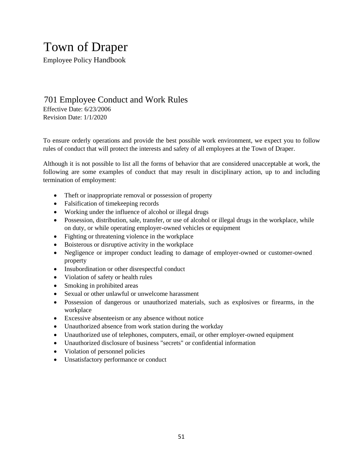Employee Policy Handbook

#### <span id="page-51-0"></span>701 Employee Conduct and Work Rules Effective Date: 6/23/2006 Revision Date: 1/1/2020

To ensure orderly operations and provide the best possible work environment, we expect you to follow rules of conduct that will protect the interests and safety of all employees at the Town of Draper.

Although it is not possible to list all the forms of behavior that are considered unacceptable at work, the following are some examples of conduct that may result in disciplinary action, up to and including termination of employment:

- Theft or inappropriate removal or possession of property
- Falsification of timekeeping records
- Working under the influence of alcohol or illegal drugs
- Possession, distribution, sale, transfer, or use of alcohol or illegal drugs in the workplace, while on duty, or while operating employer-owned vehicles or equipment
- Fighting or threatening violence in the workplace
- Boisterous or disruptive activity in the workplace
- Negligence or improper conduct leading to damage of employer-owned or customer-owned. property
- Insubordination or other disrespectful conduct
- Violation of safety or health rules
- Smoking in prohibited areas
- Sexual or other unlawful or unwelcome harassment
- Possession of dangerous or unauthorized materials, such as explosives or firearms, in the workplace
- Excessive absenteeism or any absence without notice
- Unauthorized absence from work station during the workday
- Unauthorized use of telephones, computers, email, or other employer-owned equipment
- Unauthorized disclosure of business "secrets" or confidential information
- Violation of personnel policies
- Unsatisfactory performance or conduct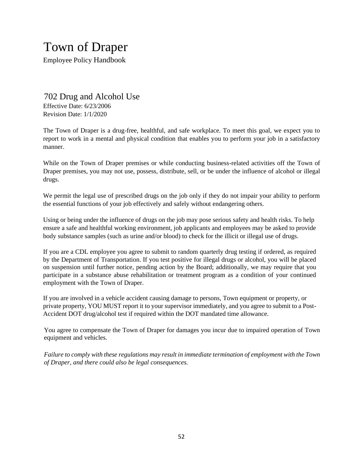Employee Policy Handbook

<span id="page-52-0"></span>702 Drug and Alcohol Use Effective Date: 6/23/2006 Revision Date: 1/1/2020

The Town of Draper is a drug-free, healthful, and safe workplace. To meet this goal, we expect you to report to work in a mental and physical condition that enables you to perform your job in a satisfactory manner.

While on the Town of Draper premises or while conducting business-related activities off the Town of Draper premises, you may not use, possess, distribute, sell, or be under the influence of alcohol or illegal drugs.

We permit the legal use of prescribed drugs on the job only if they do not impair your ability to perform the essential functions of your job effectively and safely without endangering others.

Using or being under the influence of drugs on the job may pose serious safety and health risks. To help ensure a safe and healthful working environment, job applicants and employees may be asked to provide body substance samples (such as urine and/or blood) to check for the illicit or illegal use of drugs.

If you are a CDL employee you agree to submit to random quarterly drug testing if ordered, as required by the Department of Transportation. If you test positive for illegal drugs or alcohol, you will be placed on suspension until further notice, pending action by the Board; additionally, we may require that you participate in a substance abuse rehabilitation or treatment program as a condition of your continued employment with the Town of Draper.

If you are involved in a vehicle accident causing damage to persons, Town equipment or property, or private property, YOU MUST report it to your supervisor immediately, and you agree to submit to a Post-Accident DOT drug/alcohol test if required within the DOT mandated time allowance.

You agree to compensate the Town of Draper for damages you incur due to impaired operation of Town equipment and vehicles.

*Failure to comply with these regulations may result in immediate termination of employment with the Town of Draper, and there could also be legal consequences.*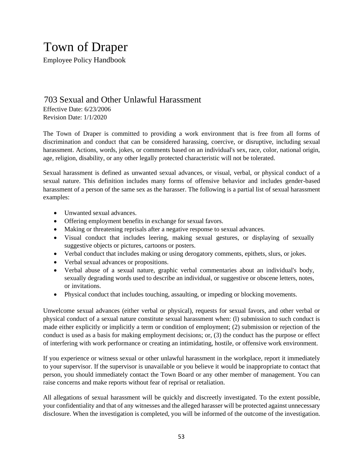Employee Policy Handbook

#### <span id="page-53-0"></span>703 Sexual and Other Unlawful Harassment

Effective Date: 6/23/2006 Revision Date: 1/1/2020

The Town of Draper is committed to providing a work environment that is free from all forms of discrimination and conduct that can be considered harassing, coercive, or disruptive, including sexual harassment. Actions, words, jokes, or comments based on an individual's sex, race, color, national origin, age, religion, disability, or any other legally protected characteristic will not be tolerated.

Sexual harassment is defined as unwanted sexual advances, or visual, verbal, or physical conduct of a sexual nature. This definition includes many forms of offensive behavior and includes gender-based harassment of a person of the same sex as the harasser. The following is a partial list of sexual harassment examples:

- Unwanted sexual advances.
- Offering employment benefits in exchange for sexual favors.
- Making or threatening reprisals after a negative response to sexual advances.
- Visual conduct that includes leering, making sexual gestures, or displaying of sexually suggestive objects or pictures, cartoons or posters.
- Verbal conduct that includes making or using derogatory comments, epithets, slurs, or jokes.
- Verbal sexual advances or propositions.
- Verbal abuse of a sexual nature, graphic verbal commentaries about an individual's body, sexually degrading words used to describe an individual, or suggestive or obscene letters, notes, or invitations.
- Physical conduct that includes touching, assaulting, or impeding or blocking movements.

Unwelcome sexual advances (either verbal or physical), requests for sexual favors, and other verbal or physical conduct of a sexual nature constitute sexual harassment when: (l) submission to such conduct is made either explicitly or implicitly a term or condition of employment; (2) submission or rejection of the conduct is used as a basis for making employment decisions; or, (3) the conduct has the purpose or effect of interfering with work performance or creating an intimidating, hostile, or offensive work environment.

If you experience or witness sexual or other unlawful harassment in the workplace, report it immediately to your supervisor. If the supervisor is unavailable or you believe it would be inappropriate to contact that person, you should immediately contact the Town Board or any other member of management. You can raise concerns and make reports without fear of reprisal or retaliation.

All allegations of sexual harassment will be quickly and discreetly investigated. To the extent possible, your confidentiality and that of any witnesses and the alleged harasser will be protected against unnecessary disclosure. When the investigation is completed, you will be informed of the outcome of the investigation.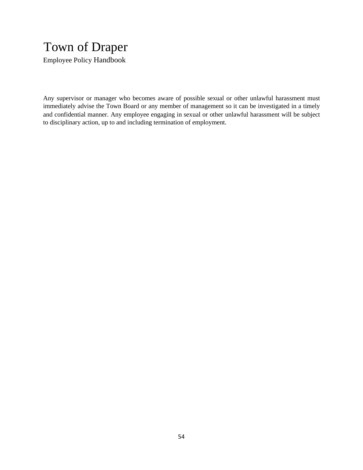Employee Policy Handbook

Any supervisor or manager who becomes aware of possible sexual or other unlawful harassment must immediately advise the Town Board or any member of management so it can be investigated in a timely and confidential manner. Any employee engaging in sexual or other unlawful harassment will be subject to disciplinary action, up to and including termination of employment.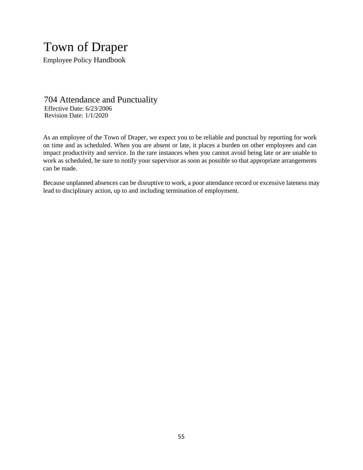Employee Policy Handbook

#### <span id="page-55-0"></span>704 Attendance and Punctuality Effective Date: 6/23/2006

Revision Date: 1/1/2020

As an employee of the Town of Draper, we expect you to be reliable and punctual by reporting for work on time and as scheduled. When you are absent or late, it places a burden on other employees and can impact productivity and service. In the rare instances when you cannot avoid being late or are unable to work as scheduled, be sure to notify your supervisor as soon as possible so that appropriate arrangements can be made.

Because unplanned absences can be disruptive to work, a poor attendance record or excessive lateness may lead to disciplinary action, up to and including termination of employment.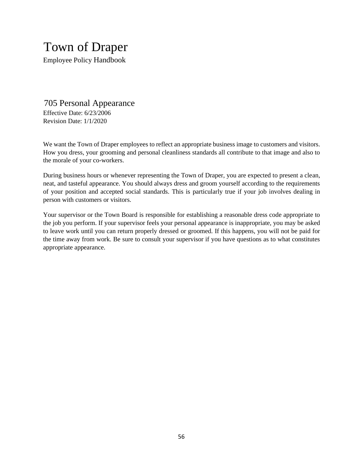Employee Policy Handbook

<span id="page-56-0"></span>705 Personal Appearance Effective Date: 6/23/2006 Revision Date: 1/1/2020

We want the Town of Draper employees to reflect an appropriate business image to customers and visitors. How you dress, your grooming and personal cleanliness standards all contribute to that image and also to the morale of your co-workers.

During business hours or whenever representing the Town of Draper, you are expected to present a clean, neat, and tasteful appearance. You should always dress and groom yourself according to the requirements of your position and accepted social standards. This is particularly true if your job involves dealing in person with customers or visitors.

Your supervisor or the Town Board is responsible for establishing a reasonable dress code appropriate to the job you perform. If your supervisor feels your personal appearance is inappropriate, you may be asked to leave work until you can return properly dressed or groomed. If this happens, you will not be paid for the time away from work. Be sure to consult your supervisor if you have questions as to what constitutes appropriate appearance.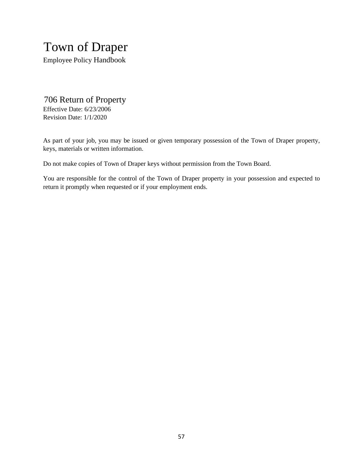Employee Policy Handbook

#### <span id="page-57-0"></span>706 Return of Property

Effective Date: 6/23/2006 Revision Date: 1/1/2020

As part of your job, you may be issued or given temporary possession of the Town of Draper property, keys, materials or written information.

Do not make copies of Town of Draper keys without permission from the Town Board.

You are responsible for the control of the Town of Draper property in your possession and expected to return it promptly when requested or if your employment ends.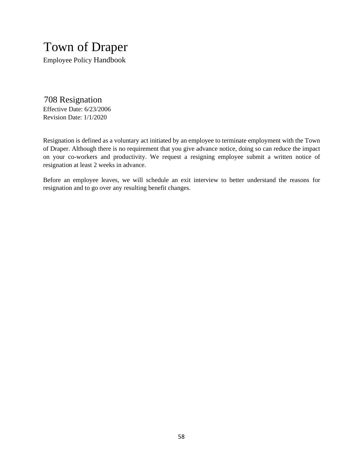Employee Policy Handbook

<span id="page-58-0"></span>708 Resignation Effective Date: 6/23/2006 Revision Date: 1/1/2020

Resignation is defined as a voluntary act initiated by an employee to terminate employment with the Town of Draper. Although there is no requirement that you give advance notice, doing so can reduce the impact on your co-workers and productivity. We request a resigning employee submit a written notice of resignation at least 2 weeks in advance.

Before an employee leaves, we will schedule an exit interview to better understand the reasons for resignation and to go over any resulting benefit changes.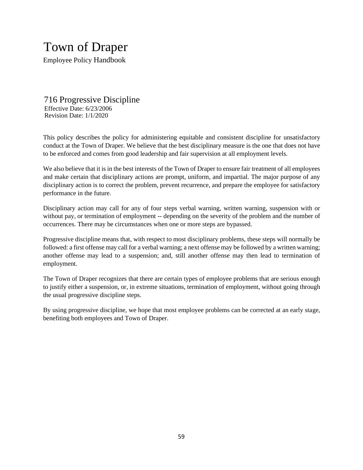Employee Policy Handbook

<span id="page-59-0"></span>716 Progressive Discipline Effective Date: 6/23/2006 Revision Date: 1/1/2020

This policy describes the policy for administering equitable and consistent discipline for unsatisfactory conduct at the Town of Draper. We believe that the best disciplinary measure is the one that does not have to be enforced and comes from good leadership and fair supervision at all employment levels.

We also believe that it is in the best interests of the Town of Draper to ensure fair treatment of all employees and make certain that disciplinary actions are prompt, uniform, and impartial. The major purpose of any disciplinary action is to correct the problem, prevent recurrence, and prepare the employee for satisfactory performance in the future.

Disciplinary action may call for any of four steps verbal warning, written warning, suspension with or without pay, or termination of employment -- depending on the severity of the problem and the number of occurrences. There may be circumstances when one or more steps are bypassed.

Progressive discipline means that, with respect to most disciplinary problems, these steps will normally be followed: a first offense may call for a verbal warning; a next offense may be followed by a written warning; another offense may lead to a suspension; and, still another offense may then lead to termination of employment.

The Town of Draper recognizes that there are certain types of employee problems that are serious enough to justify either a suspension, or, in extreme situations, termination of employment, without going through the usual progressive discipline steps.

By using progressive discipline, we hope that most employee problems can be corrected at an early stage, benefiting both employees and Town of Draper.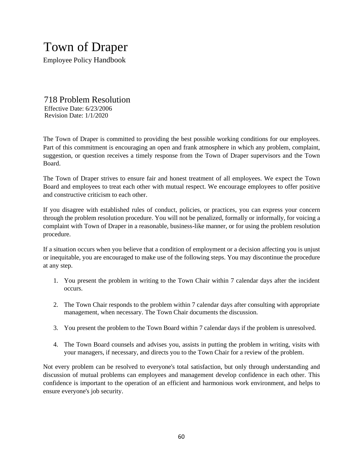Employee Policy Handbook

<span id="page-60-0"></span>718 Problem Resolution Effective Date: 6/23/2006 Revision Date: 1/1/2020

The Town of Draper is committed to providing the best possible working conditions for our employees. Part of this commitment is encouraging an open and frank atmosphere in which any problem, complaint, suggestion, or question receives a timely response from the Town of Draper supervisors and the Town Board.

The Town of Draper strives to ensure fair and honest treatment of all employees. We expect the Town Board and employees to treat each other with mutual respect. We encourage employees to offer positive and constructive criticism to each other.

If you disagree with established rules of conduct, policies, or practices, you can express your concern through the problem resolution procedure. You will not be penalized, formally or informally, for voicing a complaint with Town of Draper in a reasonable, business-like manner, or for using the problem resolution procedure.

If a situation occurs when you believe that a condition of employment or a decision affecting you is unjust or inequitable, you are encouraged to make use of the following steps. You may discontinue the procedure at any step.

- 1. You present the problem in writing to the Town Chair within 7 calendar days after the incident occurs.
- 2. The Town Chair responds to the problem within 7 calendar days after consulting with appropriate management, when necessary. The Town Chair documents the discussion.
- 3. You present the problem to the Town Board within 7 calendar days if the problem is unresolved.
- 4. The Town Board counsels and advises you, assists in putting the problem in writing, visits with your managers, if necessary, and directs you to the Town Chair for a review of the problem.

Not every problem can be resolved to everyone's total satisfaction, but only through understanding and discussion of mutual problems can employees and management develop confidence in each other. This confidence is important to the operation of an efficient and harmonious work environment, and helps to ensure everyone's job security.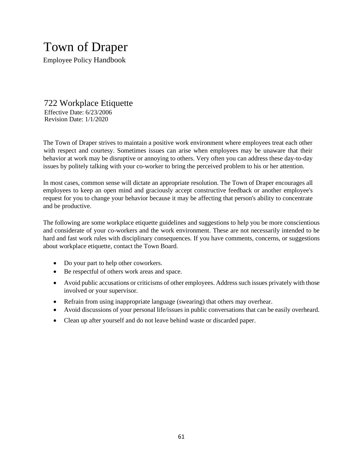Employee Policy Handbook

<span id="page-61-0"></span>722 Workplace Etiquette Effective Date: 6/23/2006 Revision Date: 1/1/2020

The Town of Draper strives to maintain a positive work environment where employees treat each other with respect and courtesy. Sometimes issues can arise when employees may be unaware that their behavior at work may be disruptive or annoying to others. Very often you can address these day-to-day issues by politely talking with your co-worker to bring the perceived problem to his or her attention.

In most cases, common sense will dictate an appropriate resolution. The Town of Draper encourages all employees to keep an open mind and graciously accept constructive feedback or another employee's request for you to change your behavior because it may be affecting that person's ability to concentrate and be productive.

The following are some workplace etiquette guidelines and suggestions to help you be more conscientious and considerate of your co-workers and the work environment. These are not necessarily intended to be hard and fast work rules with disciplinary consequences. If you have comments, concerns, or suggestions about workplace etiquette, contact the Town Board.

- Do your part to help other coworkers.
- Be respectful of others work areas and space.
- Avoid public accusations or criticisms of other employees. Address such issues privately with those involved or your supervisor.
- Refrain from using inappropriate language (swearing) that others may overhear.
- Avoid discussions of your personal life/issues in public conversations that can be easily overheard.
- Clean up after yourself and do not leave behind waste or discarded paper.